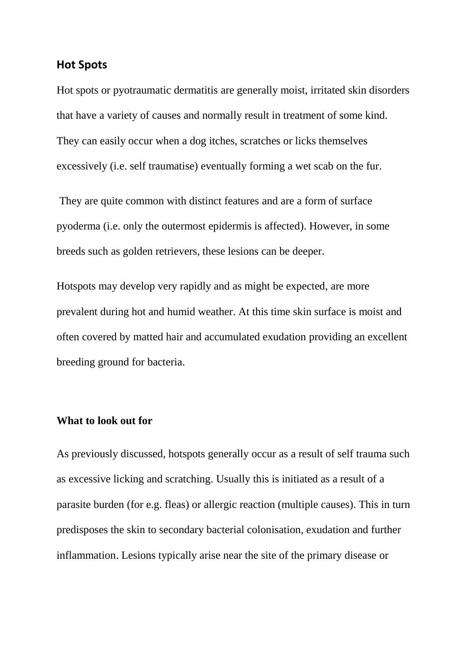#### **Hot Spots**

Hot spots or pyotraumatic dermatitis are generally moist, irritated skin disorders that have a variety of causes and normally result in treatment of some kind. They can easily occur when a dog itches, scratches or licks themselves excessively (i.e. self traumatise) eventually forming a wet scab on the fur.

They are quite common with distinct features and are a form of surface pyoderma (i.e. only the outermost epidermis is affected). However, in some breeds such as golden retrievers, these lesions can be deeper.

Hotspots may develop very rapidly and as might be expected, are more prevalent during hot and humid weather. At this time skin surface is moist and often covered by matted hair and accumulated exudation providing an excellent breeding ground for bacteria.

### **What to look out for**

As previously discussed, hotspots generally occur as a result of self trauma such as excessive licking and scratching. Usually this is initiated as a result of a parasite burden (for e.g. fleas) or allergic reaction (multiple causes). This in turn predisposes the skin to secondary bacterial colonisation, exudation and further inflammation. Lesions typically arise near the site of the primary disease or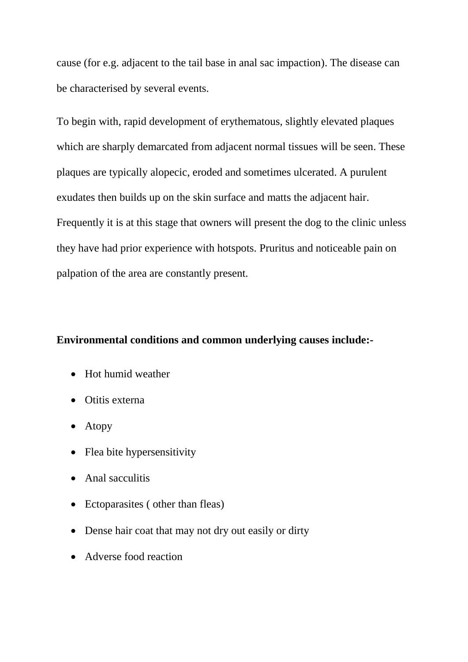cause (for e.g. adjacent to the tail base in anal sac impaction). The disease can be characterised by several events.

To begin with, rapid development of erythematous, slightly elevated plaques which are sharply demarcated from adjacent normal tissues will be seen. These plaques are typically alopecic, eroded and sometimes ulcerated. A purulent exudates then builds up on the skin surface and matts the adjacent hair. Frequently it is at this stage that owners will present the dog to the clinic unless they have had prior experience with hotspots. Pruritus and noticeable pain on palpation of the area are constantly present.

# **Environmental conditions and common underlying causes include:-**

- Hot humid weather
- Otitis externa
- Atopy
- Flea bite hypersensitivity
- Anal sacculitis
- Ectoparasites (other than fleas)
- Dense hair coat that may not dry out easily or dirty
- Adverse food reaction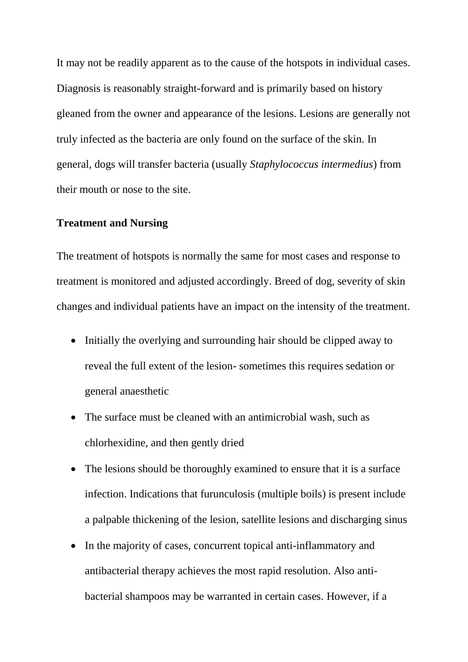It may not be readily apparent as to the cause of the hotspots in individual cases. Diagnosis is reasonably straight-forward and is primarily based on history gleaned from the owner and appearance of the lesions. Lesions are generally not truly infected as the bacteria are only found on the surface of the skin. In general, dogs will transfer bacteria (usually *Staphylococcus intermedius*) from their mouth or nose to the site.

### **Treatment and Nursing**

The treatment of hotspots is normally the same for most cases and response to treatment is monitored and adjusted accordingly. Breed of dog, severity of skin changes and individual patients have an impact on the intensity of the treatment.

- Initially the overlying and surrounding hair should be clipped away to reveal the full extent of the lesion- sometimes this requires sedation or general anaesthetic
- The surface must be cleaned with an antimicrobial wash, such as chlorhexidine, and then gently dried
- The lesions should be thoroughly examined to ensure that it is a surface infection. Indications that furunculosis (multiple boils) is present include a palpable thickening of the lesion, satellite lesions and discharging sinus
- In the majority of cases, concurrent topical anti-inflammatory and antibacterial therapy achieves the most rapid resolution. Also antibacterial shampoos may be warranted in certain cases. However, if a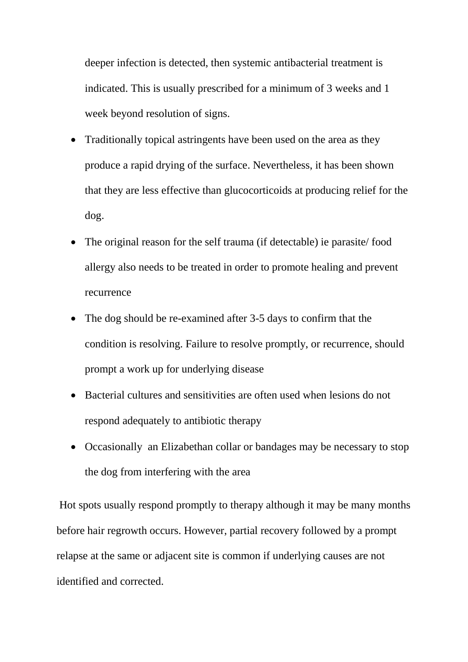deeper infection is detected, then systemic antibacterial treatment is indicated. This is usually prescribed for a minimum of 3 weeks and 1 week beyond resolution of signs.

- Traditionally topical astringents have been used on the area as they produce a rapid drying of the surface. Nevertheless, it has been shown that they are less effective than glucocorticoids at producing relief for the dog.
- The original reason for the self trauma (if detectable) ie parasite/food allergy also needs to be treated in order to promote healing and prevent recurrence
- The dog should be re-examined after 3-5 days to confirm that the condition is resolving. Failure to resolve promptly, or recurrence, should prompt a work up for underlying disease
- Bacterial cultures and sensitivities are often used when lesions do not respond adequately to antibiotic therapy
- Occasionally an Elizabethan collar or bandages may be necessary to stop the dog from interfering with the area

Hot spots usually respond promptly to therapy although it may be many months before hair regrowth occurs. However, partial recovery followed by a prompt relapse at the same or adjacent site is common if underlying causes are not identified and corrected.